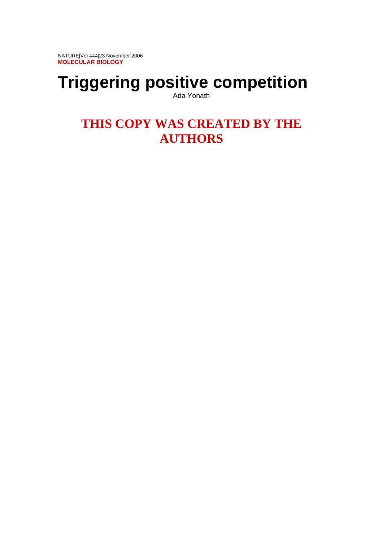NATURE|Vol 444|23 November 2006 **MOLECULAR BIOLOGY** 

# **Triggering positive competition**

Ada Yonath

# **THIS COPY WAS CREATED BY THE AUTHORS**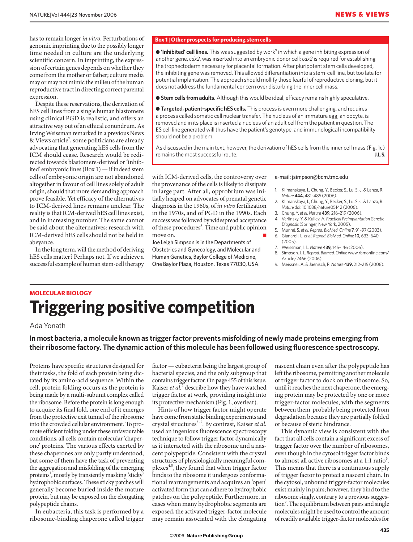has to remain longer *in vitro*. Perturbations of genomic imprinting due to the possibly longer time needed in culture are the underlying scientific concern. In imprinting, the expression of certain genes depends on whether they come from the mother or father; culture media may or may not mimic the milieu of the human reproductive tract in directing correct parental expression.

Despite these reservations, the derivation of hES cell lines from a single human blastomere using clinical PGD is realistic, and offers an attractive way out of an ethical conundrum. As Irving Weissman remarked in a previous News & Views article<sup>7</sup>, some politicians are already advocating that generating hES cells from the ICM should cease. Research would be redirected towards blastomere-derived or 'inhibited' embryonic lines (Box 1) — if indeed stem cells of embryonic origin are not abandoned altogether in favour of cell lines solely of adult origin, should that more demanding approach prove feasible. Yet efficacy of the alternatives to ICM-derived lines remains unclear. The reality is that ICM-derived hES cell lines exist, and in increasing number. The same cannot be said about the alternatives: research with ICM-derived hES cells should not be held in abeyance.

In the long term, will the method of deriving hES cells matter? Perhaps not. If we achieve a successful example of human stem-cell therapy

### **Box 1** | **Other prospects for producing stem cells**

● 'Inhibited' cell lines. This was suggested by work<sup>9</sup> in which a gene inhibiting expression of another gene, *cdx2*, was inserted into an embryonic donor cell; *cdx2* is required for establishing the trophectoderm necessary for placental formation. After pluripotent stem cells developed, the inhibiting gene was removed. This allowed differentiation into a stem-cell line, but too late for potential implantation. The approach should mollify those fearful of reproductive cloning, but it does not address the fundamental concern over disturbing the inner cell mass.

● **Stem cells from adults.** Although this would be ideal, efficacy remains highly speculative.

● **Targeted, patient-specific hES cells.** This process is even more challenging, and requires a process called somatic cell nuclear transfer. The nucleus of an immature egg, an oocyte, is removed and in its place is inserted a nucleus of an adult cell from the patient in question. The ES cell line generated will thus have the patient's genotype, and immunological incompatibility should not be a problem.

As discussed in the main text, however, the derivation of hES cells from the inner cell mass (Fig. 1c) remains the most successful route. **J.L.S.**

with ICM-derived cells, the controversy over the provenance of the cells is likely to dissipate in large part. After all, opprobrium was initially heaped on advocates of prenatal genetic diagnosis in the 1960s, of *in vitro* fertilization in the 1970s, and of PGD in the 1990s. Each success was followed by widespread acceptance of these procedures<sup>8</sup>. Time and public opinion move on.

Joe Leigh Simpson is in the Departments of Obstetrics and Gynecology, and Molecular and Human Genetics, Baylor College of Medicine, One Baylor Plaza, Houston, Texas 77030, USA.

#### e-mail: jsimpson@bcm.tmc.edu

- 1. Klimanskaya, I., Chung, Y., Becker, S., Lu, S.-J. & Lanza, R. *Nature* **444,** 481–485 (2006).
- 2. Klimanskaya, I., Chung, Y., Becker, S., Lu, S.-J. & Lanza, R. *Nature* doi: 10.1038/nature05142 (2006).
- 3. Chung, Y. *et al.Nature* **439,** 216–219 (2006). 4. Verlinsky, Y. & Kuliev, A. *Practical Preimplantation Genetic*
- *Diagnosis* (Springer, New York, 2005).
- 5. Munné, S. *et al. Reprod. BioMed. Online* **7,** 91–97 (2003).
- 6. Gianaroli, L. *et al. Reprod. BioMed. Online* **10,** 633–640  $(2005)$
- 7. Weissman, I. L. *Nature* **439,** 145–146 (2006).
- 8. Simpson, J. L. *Reprod. Biomed. Online* www.rbmonline.com/ Article/2466 (2006).
- 9. Meissner, A. & Jaenisch, R. *Nature* **439,** 212–215 (2006).

## **MOLECULAR BIOLOGY Triggering positive competition**

### Ada Yonath

**In most bacteria, a molecule known as trigger factor prevents misfolding of newly made proteins emerging from their ribosome factory. The dynamic action of this molecule has been followed using fluorescence spectroscopy.**

Proteins have specific structures designed for their tasks, the fold of each protein being dictated by its amino-acid sequence. Within the cell, protein folding occurs as the protein is being made by a multi-subunit complex called the ribosome. Before the protein is long enough to acquire its final fold, one end of it emerges from the protective exit tunnel of the ribosome into the crowded cellular environment. To promote efficient folding under these unfavourable conditions, all cells contain molecular 'chaperone' proteins. The various effects exerted by these chaperones are only partly understood, but some of them have the task of preventing the aggregation and misfolding of the emerging proteins<sup>1</sup>, mostly by transiently masking 'sticky' hydrophobic surfaces. These sticky patches will generally become buried inside the mature protein, but may be exposed on the elongating polypeptide chains.

In eubacteria, this task is performed by a ribosome-binding chaperone called trigger

factor — eubacteria being the largest group of bacterial species, and the only subgroup that contains trigger factor. On page 455 of this issue, Kaiser *et al.*<sup>2</sup> describe how they have watched trigger factor at work, providing insight into its protective mechanism (Fig. 1, overleaf).

Hints of how trigger factor might operate have come from static binding experiments and crystal structures<sup>3-5</sup>. By contrast, Kaiser et al. used an ingenious fluorescence spectroscopy technique to follow trigger factor dynamically as it interacted with the ribosome and a nascent polypeptide. Consistent with the crystal structures of physiologically meaningful complexes4,5, they found that when trigger factor binds to the ribosome it undergoes conformational rearrangements and acquires an 'open' activated form that can adhere to hydrophobic patches on the polypeptide. Furthermore, in cases when many hydrophobic segments are exposed, the activated trigger-factor molecule may remain associated with the elongating

nascent chain even after the polypeptide has left the ribosome, permitting another molecule of trigger factor to dock on the ribosome. So, until it reaches the next chaperone, the emerging protein may be protected by one or more trigger-factor molecules, with the segments between them probably being protected from degradation because they are partially folded or because of steric hindrance.

This dynamic view is consistent with the fact that all cells contain a significant excess of trigger factor over the number of ribosomes, even though in the cytosol trigger factor binds to almost all active ribosomes at a 1:1 ratio<sup>6</sup>. This means that there is a continuous supply of trigger factor to protect a nascent chain. In the cytosol, unbound trigger-factor molecules exist mainly in pairs; however, they bind to the ribosome singly, contrary to a previous suggestion<sup>7</sup>. The equilibrium between pairs and single molecules might be used to control the amount of readily available trigger-factor molecules for